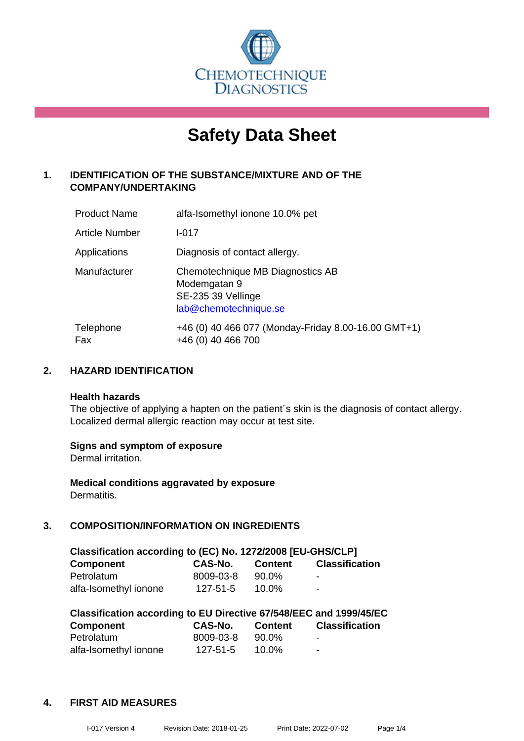

# **Safety Data Sheet**

# **1. IDENTIFICATION OF THE SUBSTANCE/MIXTURE AND OF THE COMPANY/UNDERTAKING**

| <b>Product Name</b> | alfa-Isomethyl ionone 10.0% pet                                                                 |
|---------------------|-------------------------------------------------------------------------------------------------|
| Article Number      | $I - 017$                                                                                       |
| Applications        | Diagnosis of contact allergy.                                                                   |
| Manufacturer        | Chemotechnique MB Diagnostics AB<br>Modemgatan 9<br>SE-235 39 Vellinge<br>lab@chemotechnique.se |
| Telephone<br>Fax    | +46 (0) 40 466 077 (Monday-Friday 8.00-16.00 GMT+1)<br>+46 (0) 40 466 700                       |

# **2. HAZARD IDENTIFICATION**

#### **Health hazards**

The objective of applying a hapten on the patient's skin is the diagnosis of contact allergy. Localized dermal allergic reaction may occur at test site.

#### **Signs and symptom of exposure**

Dermal irritation.

**Medical conditions aggravated by exposure** Dermatitis.

# **3. COMPOSITION/INFORMATION ON INGREDIENTS**

| Classification according to (EC) No. 1272/2008 [EU-GHS/CLP] |                |                |                       |  |
|-------------------------------------------------------------|----------------|----------------|-----------------------|--|
| <b>Component</b>                                            | CAS-No.        | <b>Content</b> | <b>Classification</b> |  |
| Petrolatum                                                  | 8009-03-8      | 90.0%          | -                     |  |
| alfa-Isomethyl ionone                                       | $127 - 51 - 5$ | $10.0\%$       | $\blacksquare$        |  |

| Classification according to EU Directive 67/548/EEC and 1999/45/EC |                |                |                       |  |  |
|--------------------------------------------------------------------|----------------|----------------|-----------------------|--|--|
| Component                                                          | CAS-No.        | <b>Content</b> | <b>Classification</b> |  |  |
| Petrolatum                                                         | 8009-03-8      | 90.0%          | $\blacksquare$        |  |  |
| alfa-Isomethyl ionone                                              | $127 - 51 - 5$ | $10.0\%$       | -                     |  |  |

#### **4. FIRST AID MEASURES**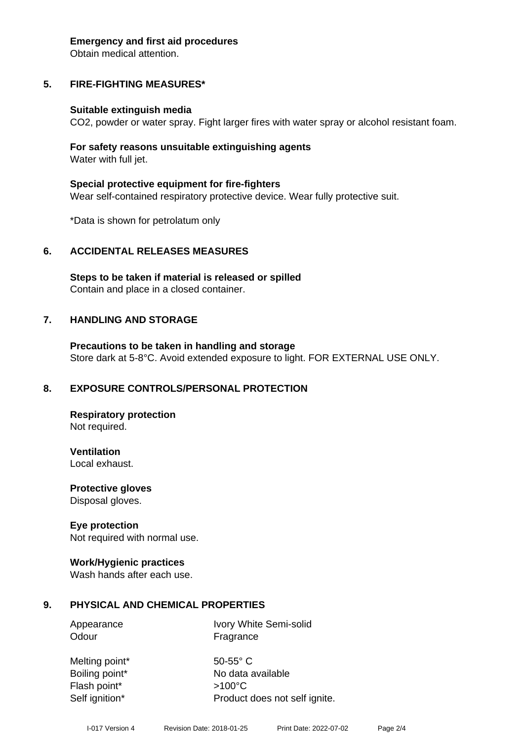#### **Emergency and first aid procedures**

Obtain medical attention.

# **5. FIRE-FIGHTING MEASURES\***

#### **Suitable extinguish media**

CO2, powder or water spray. Fight larger fires with water spray or alcohol resistant foam.

#### **For safety reasons unsuitable extinguishing agents** Water with full jet.

**Special protective equipment for fire-fighters** Wear self-contained respiratory protective device. Wear fully protective suit.

\*Data is shown for petrolatum only

#### **6. ACCIDENTAL RELEASES MEASURES**

**Steps to be taken if material is released or spilled** Contain and place in a closed container.

#### **7. HANDLING AND STORAGE**

**Precautions to be taken in handling and storage** Store dark at 5-8°C. Avoid extended exposure to light. FOR EXTERNAL USE ONLY.

#### **8. EXPOSURE CONTROLS/PERSONAL PROTECTION**

**Respiratory protection** Not required.

**Ventilation** Local exhaust.

**Protective gloves** Disposal gloves.

#### **Eye protection**

Not required with normal use.

#### **Work/Hygienic practices**

Wash hands after each use.

#### **9. PHYSICAL AND CHEMICAL PROPERTIES**

Appearance Ivory White Semi-solid Odour **Fragrance** 

Melting point\* 50-55° C Boiling point\* No data available Flash point\* >100°C Self ignition\* Product does not self ignite.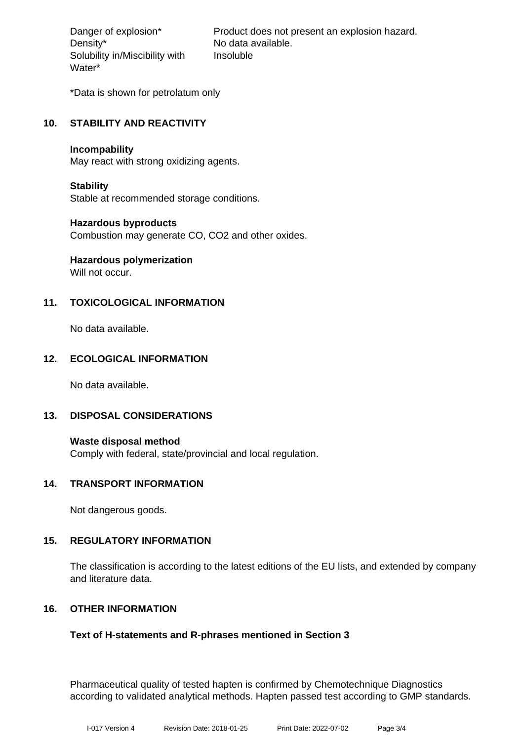Density\* No data available. Solubility in/Miscibility with Water\*

Danger of explosion\* Product does not present an explosion hazard. Insoluble

\*Data is shown for petrolatum only

### **10. STABILITY AND REACTIVITY**

#### **Incompability**

May react with strong oxidizing agents.

#### **Stability**

Stable at recommended storage conditions.

#### **Hazardous byproducts**

Combustion may generate CO, CO2 and other oxides.

# **Hazardous polymerization**

Will not occur.

# **11. TOXICOLOGICAL INFORMATION**

No data available.

#### **12. ECOLOGICAL INFORMATION**

No data available.

#### **13. DISPOSAL CONSIDERATIONS**

**Waste disposal method** Comply with federal, state/provincial and local regulation.

#### **14. TRANSPORT INFORMATION**

Not dangerous goods.

#### **15. REGULATORY INFORMATION**

The classification is according to the latest editions of the EU lists, and extended by company and literature data.

#### **16. OTHER INFORMATION**

#### **Text of H-statements and R-phrases mentioned in Section 3**

Pharmaceutical quality of tested hapten is confirmed by Chemotechnique Diagnostics according to validated analytical methods. Hapten passed test according to GMP standards.